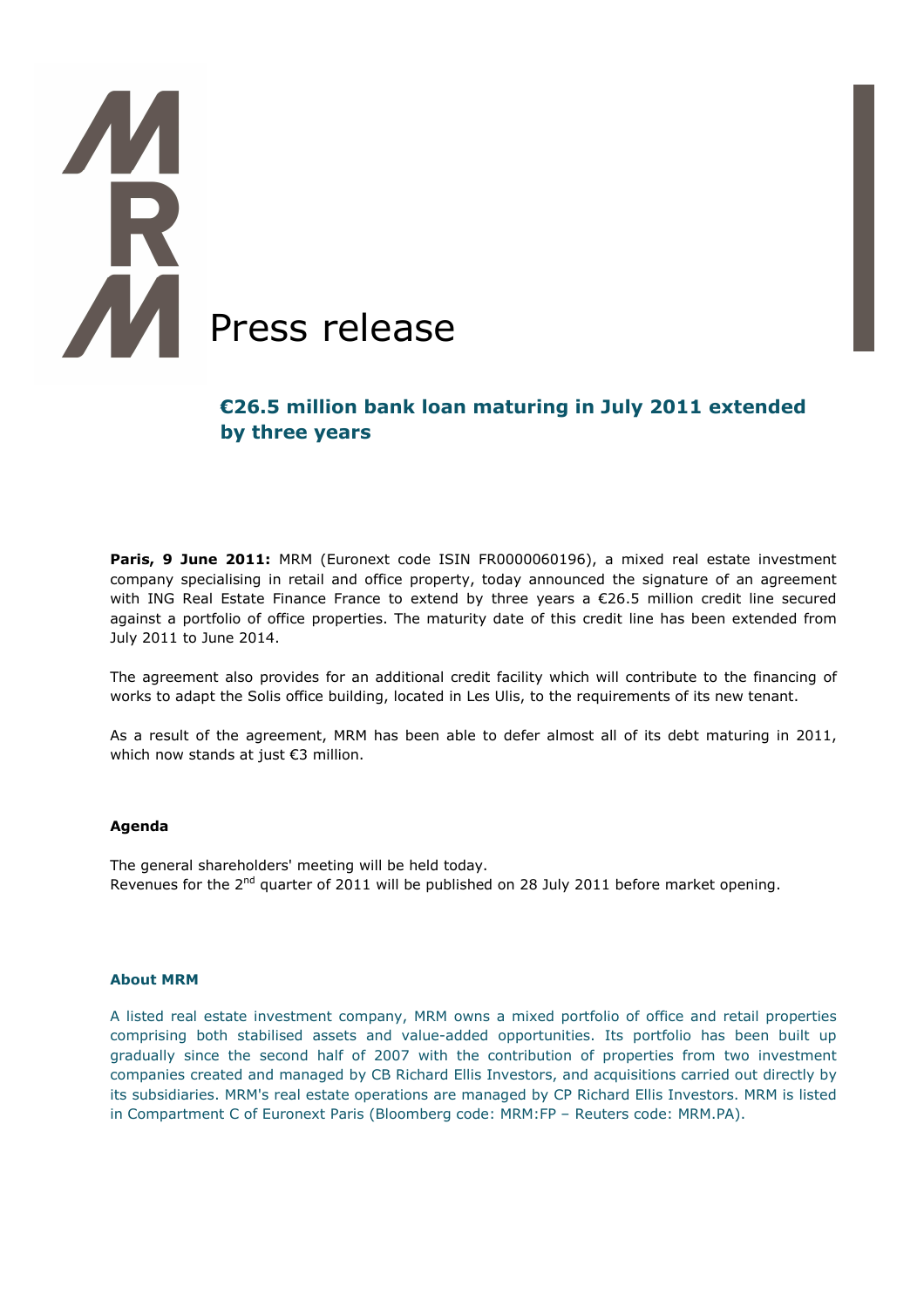# **Press release**

# **€26.5 million bank loan maturing in July 2011 extended by three years**

Paris, 9 June 2011: MRM (Euronext code ISIN FR0000060196), a mixed real estate investment company specialising in retail and office property, today announced the signature of an agreement with ING Real Estate Finance France to extend by three years a €26.5 million credit line secured against a portfolio of office properties. The maturity date of this credit line has been extended from July 2011 to June 2014.

The agreement also provides for an additional credit facility which will contribute to the financing of works to adapt the Solis office building, located in Les Ulis, to the requirements of its new tenant.

As a result of the agreement, MRM has been able to defer almost all of its debt maturing in 2011, which now stands at just €3 million.

### **Agenda**

The general shareholders' meeting will be held today. Revenues for the 2<sup>nd</sup> quarter of 2011 will be published on 28 July 2011 before market opening.

### **About MRM**

A listed real estate investment company, MRM owns a mixed portfolio of office and retail properties comprising both stabilised assets and value-added opportunities. Its portfolio has been built up gradually since the second half of 2007 with the contribution of properties from two investment companies created and managed by CB Richard Ellis Investors, and acquisitions carried out directly by its subsidiaries. MRM's real estate operations are managed by CP Richard Ellis Investors. MRM is listed in Compartment C of Euronext Paris (Bloomberg code: MRM:FP – Reuters code: MRM.PA).